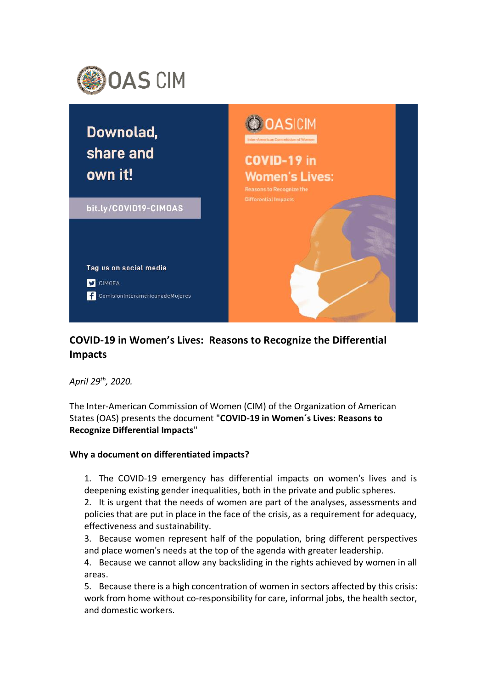



## **COVID-19 in Women's Lives: Reasons to Recognize the Differential Impacts**

*April 29th, 2020.*

The Inter-American Commission of Women (CIM) of the Organization of American States (OAS) presents the document "**COVID-19 in Women´s Lives: Reasons to Recognize Differential Impacts**"

## **Why a document on differentiated impacts?**

1. The COVID-19 emergency has differential impacts on women's lives and is deepening existing gender inequalities, both in the private and public spheres.

2. It is urgent that the needs of women are part of the analyses, assessments and policies that are put in place in the face of the crisis, as a requirement for adequacy, effectiveness and sustainability.

- 3. Because women represent half of the population, bring different perspectives and place women's needs at the top of the agenda with greater leadership.
- 4. Because we cannot allow any backsliding in the rights achieved by women in all areas.

5. Because there is a high concentration of women in sectors affected by this crisis: work from home without co-responsibility for care, informal jobs, the health sector, and domestic workers.